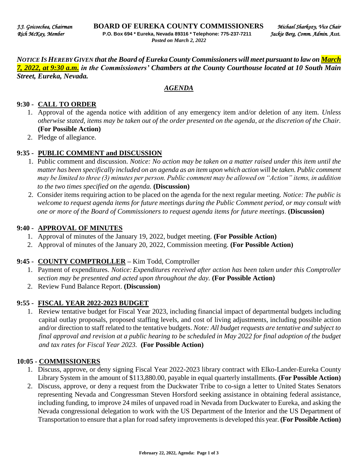*NOTICE IS HEREBY GIVEN that the Board of Eureka County Commissioners will meet pursuant to law on March 7, 2022, at 9:30 a.m. in the Commissioners' Chambers at the County Courthouse located at 10 South Main Street, Eureka, Nevada.* 

### *AGENDA*

### **9:30 - CALL TO ORDER**

- 1. Approval of the agenda notice with addition of any emergency item and/or deletion of any item. *Unless otherwise stated, items may be taken out of the order presented on the agenda, at the discretion of the Chair.* **(For Possible Action)**
- 2. Pledge of allegiance.

#### **9:35 - PUBLIC COMMENT and DISCUSSION**

- 1. Public comment and discussion. *Notice: No action may be taken on a matter raised under this item until the matter has been specifically included on an agenda as an item upon which action will be taken. Public comment may be limited to three (3) minutes per person. Public comment may be allowed on "Action" items, in addition to the two times specified on the agenda.* **(Discussion)**
- 2. Consider items requiring action to be placed on the agenda for the next regular meeting. *Notice: The public is welcome to request agenda items for future meetings during the Public Comment period, or may consult with one or more of the Board of Commissioners to request agenda items for future meetings*. **(Discussion)**

#### **9:40 - APPROVAL OF MINUTES**

- 1. Approval of minutes of the January 19, 2022, budget meeting. **(For Possible Action)**
- 2. Approval of minutes of the January 20, 2022, Commission meeting. **(For Possible Action)**

### **9:45 - COUNTY COMPTROLLER –** Kim Todd, Comptroller

- 1. Payment of expenditures. *Notice: Expenditures received after action has been taken under this Comptroller section may be presented and acted upon throughout the day.* **(For Possible Action)**
- 2. Review Fund Balance Report. **(Discussion)**

#### **9:55 - FISCAL YEAR 2022-2023 BUDGET**

1. Review tentative budget for Fiscal Year 2023, including financial impact of departmental budgets including capital outlay proposals, proposed staffing levels, and cost of living adjustments, including possible action and/or direction to staff related to the tentative budgets. *Note: All budget requests are tentative and subject to final approval and revision at a public hearing to be scheduled in May 2022 for final adoption of the budget and tax rates for Fiscal Year 2023.* **(For Possible Action)** 

#### **10:05 - COMMISSIONERS**

- 1. Discuss, approve, or deny signing Fiscal Year 2022-2023 library contract with Elko-Lander-Eureka County Library System in the amount of \$113,880.00, payable in equal quarterly installments. **(For Possible Action)**
- 2. Discuss, approve, or deny a request from the Duckwater Tribe to co-sign a letter to United States Senators representing Nevada and Congressman Steven Horsford seeking assistance in obtaining federal assistance, including funding, to improve 24 miles of unpaved road in Nevada from Duckwater to Eureka, and asking the Nevada congressional delegation to work with the US Department of the Interior and the US Department of Transportation to ensure that a plan for road safety improvements is developed this year. **(For Possible Action)**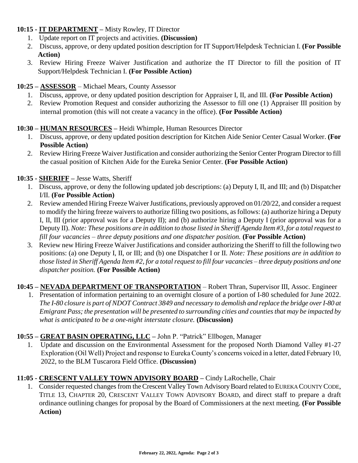## **10:15 - IT DEPARTMENT –** Misty Rowley, IT Director

- 1. Update report on IT projects and activities. **(Discussion)**
- 2. Discuss, approve, or deny updated position description for IT Support/Helpdesk Technician I. **(For Possible Action)**
- 3. Review Hiring Freeze Waiver Justification and authorize the IT Director to fill the position of IT Support/Helpdesk Technician I. **(For Possible Action)**

# **10:25 – ASSESSOR** – Michael Mears, County Assessor

- 1. Discuss, approve, or deny updated position description for Appraiser I, II, and III. **(For Possible Action)**
- 2. Review Promotion Request and consider authorizing the Assessor to fill one (1) Appraiser III position by internal promotion (this will not create a vacancy in the office). **(For Possible Action)**

## **10:30 – HUMAN RESOURCES –** Heidi Whimple, Human Resources Director

- 1. Discuss, approve, or deny updated position description for Kitchen Aide Senior Center Casual Worker. **(For Possible Action)**
- 2. Review Hiring Freeze Waiver Justification and consider authorizing the Senior Center Program Director to fill the casual position of Kitchen Aide for the Eureka Senior Center. **(For Possible Action)**

## **10:35 - SHERIFF –** Jesse Watts, Sheriff

- 1. Discuss, approve, or deny the following updated job descriptions: (a) Deputy I, II, and III; and (b) Dispatcher I/II. **(For Possible Action)**
- 2. Review amended Hiring Freeze Waiver Justifications, previously approved on 01/20/22, and consider a request to modify the hiring freeze waivers to authorize filling two positions, as follows: (a) authorize hiring a Deputy I, II, III (prior approval was for a Deputy II); and (b) authorize hiring a Deputy I (prior approval was for a Deputy II). *Note: These positions are in addition to those listed in Sheriff Agenda Item #3, for a total request to fill four vacancies – three deputy positions and one dispatcher position.* **(For Possible Action)**
- 3. Review new Hiring Freeze Waiver Justifications and consider authorizing the Sheriff to fill the following two positions: (a) one Deputy I, II, or III; and (b) one Dispatcher I or II. *Note: These positions are in addition to those listed in Sheriff Agenda Item #2, for a total request to fill four vacancies – three deputy positions and one dispatcher position.* **(For Possible Action)**

**10:45 – NEVADA DEPARTMENT OF TRANSPORTATION** – Robert Thran, Supervisor III, Assoc. Engineer

1. Presentation of information pertaining to an overnight closure of a portion of I-80 scheduled for June 2022. *The I-80 closure is part of NDOT Contract 3849 and necessary to demolish and replace the bridge over I-80 at Emigrant Pass; the presentation will be presented to surrounding cities and counties that may be impacted by what is anticipated to be a one-night interstate closure.* **(Discussion)** 

### **10:55 – GREAT BASIN OPERATING, LLC –** John P. "Patrick" Ellbogen, Manager

1. Update and discussion on the Environmental Assessment for the proposed North Diamond Valley #1-27 Exploration (Oil Well) Project and response to Eureka County's concerns voiced in a letter, dated February 10, 2022, to the BLM Tuscarora Field Office. **(Discussion)** 

# **11:05 - CRESCENT VALLEY TOWN ADVISORY BOARD –** Cindy LaRochelle, Chair

1. Consider requested changes from the Crescent Valley Town Advisory Board related to EUREKA COUNTY CODE, TITLE 13, CHAPTER 20, CRESCENT VALLEY TOWN ADVISORY BOARD, and direct staff to prepare a draft ordinance outlining changes for proposal by the Board of Commissioners at the next meeting. **(For Possible Action)**